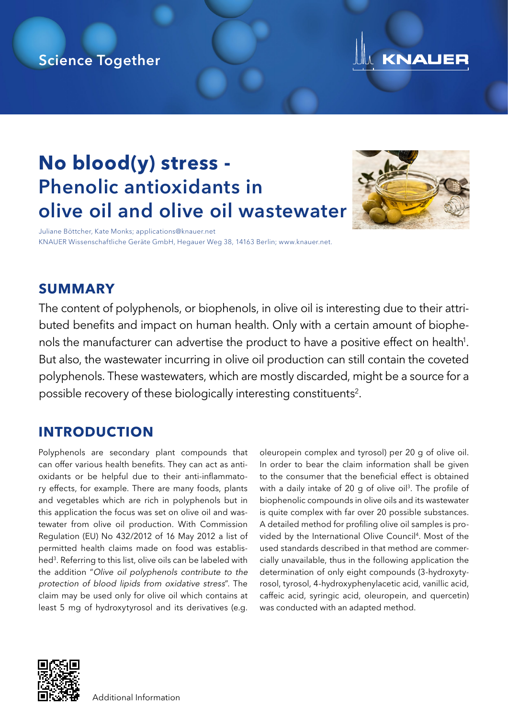# Science Together



# **No blood(y) stress -** Phenolic antioxidants in olive oil and olive oil wastewater



Juliane Böttcher, Kate Monks; applications@knauer.net KNAUER Wissenschaftliche Geräte GmbH, Hegauer Weg 38, 14163 Berlin; www.knauer.net.

## **SUMMARY**

The content of polyphenols, or biophenols, in olive oil is interesting due to their attributed benefits and impact on human health. Only with a certain amount of biophenols the manufacturer can advertise the product to have a positive effect on health<sup>1</sup>. But also, the wastewater incurring in olive oil production can still contain the coveted polyphenols. These wastewaters, which are mostly discarded, might be a source for a possible recovery of these biologically interesting constituents<sup>2</sup>.

## **INTRODUCTION**

Polyphenols are secondary plant compounds that can offer various health benefits. They can act as antioxidants or be helpful due to their anti-inflammatory effects, for example. There are many foods, plants and vegetables which are rich in polyphenols but in this application the focus was set on olive oil and wastewater from olive oil production. With Commission Regulation (EU) No 432/2012 of 16 May 2012 a list of permitted health claims made on food was established<sup>3</sup>. Referring to this list, olive oils can be labeled with the addition "Olive oil polyphenols contribute to the protection of blood lipids from oxidative stress". The claim may be used only for olive oil which contains at least 5 mg of hydroxytyrosol and its derivatives (e.g.

oleuropein complex and tyrosol) per 20 g of olive oil. In order to bear the claim information shall be given to the consumer that the beneficial effect is obtained with a daily intake of 20 g of olive oil<sup>3</sup>. The profile of biophenolic compounds in olive oils and its wastewater is quite complex with far over 20 possible substances. A detailed method for profiling olive oil samples is provided by the International Olive Council<sup>4</sup>. Most of the used standards described in that method are commercially unavailable, thus in the following application the determination of only eight compounds (3-hydroxytyrosol, tyrosol, 4-hydroxyphenylacetic acid, vanillic acid, caffeic acid, syringic acid, oleuropein, and quercetin) was conducted with an adapted method.



[A](https://www.knauer.net/en/prod/vfd0188)dditional Information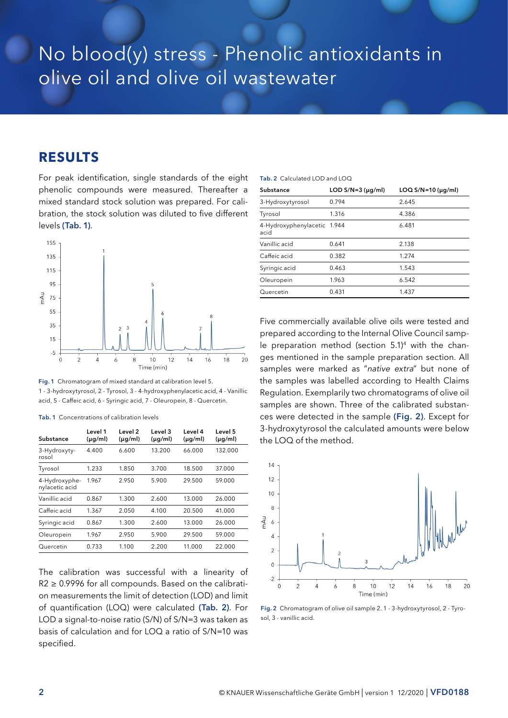# No blood(y) stress - Phenolic antioxidants in olive oil and olive oil wastewater

### **RESULTS**

For peak identification, single standards of the eight phenolic compounds were measured. Thereafter a mixed standard stock solution was prepared. For calibration, the stock solution was diluted to five different levels (Tab. 1).



Fig. 1 Chromatogram of mixed standard at calibration level 5. 1 - 3-hydroxytyrosol, 2 - Tyrosol, 3 - 4-hydroxyphenylacetic acid, 4 - Vanillic acid, 5 - Caffeic acid, 6 - Syringic acid, 7 - Oleuropein, 8 - Quercetin.

Tab. 1 Concentrations of calibration levels

| Substance                       | Level 1<br>$(\mu g/ml)$ | Level 2<br>$(\mu q/ml)$ | Level 3<br>$(\mu q/ml)$ | Level 4<br>$(\mu q/ml)$ | Level 5<br>$(\mu q/ml)$ |
|---------------------------------|-------------------------|-------------------------|-------------------------|-------------------------|-------------------------|
| 3-Hydroxyty-<br>rosol           | 4.400                   | 6.600                   | 13.200                  | 66.000                  | 132.000                 |
| Tyrosol                         | 1.233                   | 1,850                   | 3.700                   | 18.500                  | 37.000                  |
| 4-Hydroxyphe-<br>nylacetic acid | 1.967                   | 2.950                   | 5.900                   | 29.500                  | 59.000                  |
| Vanillic acid                   | 0.867                   | 1.300                   | 2.600                   | 13.000                  | 26.000                  |
| Caffeic acid                    | 1.367                   | 2.050                   | 4.100                   | 20.500                  | 41.000                  |
| Syringic acid                   | 0.867                   | 1.300                   | 2.600                   | 13.000                  | 26.000                  |
| Oleuropein                      | 1.967                   | 2.950                   | 5.900                   | 29.500                  | 59.000                  |
| Quercetin                       | 0.733                   | 1.100                   | 2.200                   | 11.000                  | 22.000                  |

The calibration was successful with a linearity of  $R2 \geq 0.9996$  for all compounds. Based on the calibration measurements the limit of detection (LOD) and limit of quantification (LOQ) were calculated (Tab. 2). For LOD a signal-to-noise ratio (S/N) of S/N=3 was taken as basis of calculation and for LOQ a ratio of S/N=10 was specified.

#### Tab. 2 Calculated LOD and LOQ

| Substance                           | LOD $S/N=3$ ( $\mu q/ml$ ) | LOQ $S/N=10$ ( $\mu$ g/ml) |
|-------------------------------------|----------------------------|----------------------------|
| 3-Hydroxytyrosol                    | 0.794                      | 2.645                      |
| Tyrosol                             | 1.316                      | 4.386                      |
| 4-Hydroxyphenylacetic 1.944<br>acid |                            | 6.481                      |
| Vanillic acid                       | 0.641                      | 2.138                      |
| Caffeic acid                        | 0.382                      | 1.274                      |
| Syringic acid                       | 0.463                      | 1.543                      |
| Oleuropein                          | 1.963                      | 6.542                      |
| Quercetin                           | 0.431                      | 1.437                      |

Five commercially available olive oils were tested and prepared according to the Internal Olive Council sample preparation method (section  $5.1$ )<sup>4</sup> with the changes mentioned in the sample preparation section. All samples were marked as "native extra" but none of the samples was labelled according to Health Claims Regulation. Exemplarily two chromatograms of olive oil samples are shown. Three of the calibrated substances were detected in the sample (Fig. 2). Except for 3-hydroxytyrosol the calculated amounts were below the LOQ of the method.



Fig. 2 Chromatogram of olive oil sample 2. 1 - 3-hydroxytyrosol, 2 - Tyrosol, 3 - vanillic acid.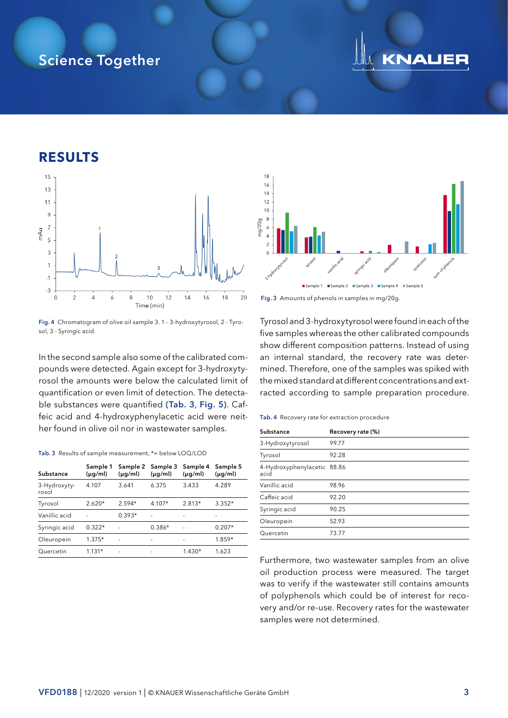# Science Together

# KNALIER

### **RESULTS**



Fig. 4 Chromatogram of olive oil sample 3. 1 - 3-hydroxytyrosol, 2 - Tyrosol, 3 - Syringic acid.

In the second sample also some of the calibrated compounds were detected. Again except for 3-hydroxytyrosol the amounts were below the calculated limit of quantification or even limit of detection. The detectable substances were quantified (Tab. 3, Fig. 5). Caffeic acid and 4-hydroxyphenylacetic acid were neither found in olive oil nor in wastewater samples.

#### Tab. 3 Results of sample measurement, \*= below LOQ/LOD

| Substance             | Sample 1<br>$(\mu g/ml)$ | Sample 2<br>$(\mu g/ml)$ | Sample 3<br>$(\mu q/ml)$ | Sample 4<br>$(\mu g/ml)$ | Sample 5<br>$(\mu q/ml)$ |
|-----------------------|--------------------------|--------------------------|--------------------------|--------------------------|--------------------------|
| 3-Hydroxyty-<br>rosol | 4.107                    | 3.641                    | 6.375                    | 3.433                    | 4.289                    |
| Tyrosol               | $2.620*$                 | $2.594*$                 | $4.107*$                 | $2.813*$                 | $3.352*$                 |
| Vanillic acid         |                          | $0.393*$                 |                          |                          |                          |
| Syringic acid         | $0.322*$                 |                          | $0.386*$                 |                          | $0.207*$                 |
| Oleuropein            | $1.375*$                 |                          | -                        |                          | $1.859*$                 |
| Quercetin             | $1.131*$                 |                          |                          | $1.430*$                 | 1.623                    |





Tyrosol and 3-hydroxytyrosol were found in each of the five samples whereas the other calibrated compounds show different composition patterns. Instead of using an internal standard, the recovery rate was determined. Therefore, one of the samples was spiked with the mixed standard at different concentrations and extracted according to sample preparation procedure.

#### Tab. 4 Recovery rate for extraction procedure

| Substance                           | Recovery rate (%) |
|-------------------------------------|-------------------|
| 3-Hydroxytyrosol                    | 99.77             |
| Tyrosol                             | 92.28             |
| 4-Hydroxyphenylacetic 88.86<br>acid |                   |
| Vanillic acid                       | 98.96             |
| Caffeic acid                        | 92.20             |
| Syringic acid                       | 90.25             |
| Oleuropein                          | 52.93             |
| Quercetin                           | 73.77             |

Furthermore, two wastewater samples from an olive oil production process were measured. The target was to verify if the wastewater still contains amounts of polyphenols which could be of interest for recovery and/or re-use. Recovery rates for the wastewater samples were not determined.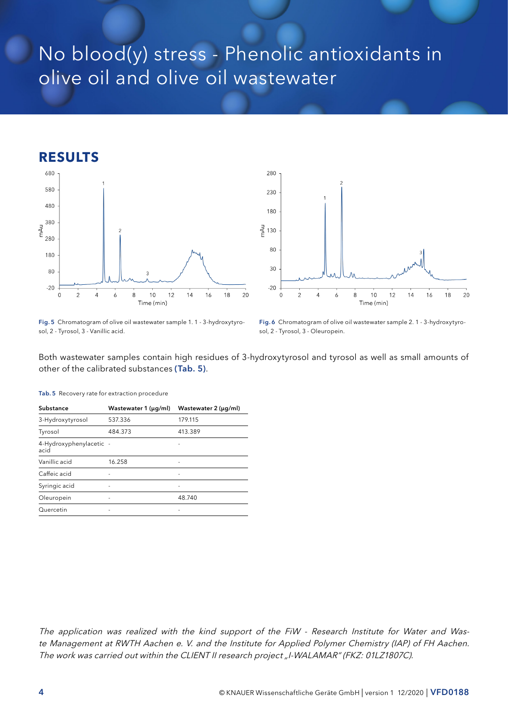# No blood(y) stress - Phenolic antioxidants in olive oil and olive oil wastewater

## **RESULTS**





Fig. 5 Chromatogram of olive oil wastewater sample 1. 1 - 3-hydroxytyrosol, 2 - Tyrosol, 3 - Vanillic acid.

Fig. 6 Chromatogram of olive oil wastewater sample 2. 1 - 3-hydroxytyrosol, 2 - Tyrosol, 3 - Oleuropein.

Both wastewater samples contain high residues of 3-hydroxytyrosol and tyrosol as well as small amounts of other of the calibrated substances (Tab. 5).

| Substance                       | Wastewater 1 (µg/ml)     | Wastewater 2 (µg/ml) |
|---------------------------------|--------------------------|----------------------|
| 3-Hydroxytyrosol                | 537.336                  | 179.115              |
| Tyrosol                         | 484.373                  | 413.389              |
| 4-Hydroxyphenylacetic -<br>acid |                          |                      |
| Vanillic acid                   | 16.258                   |                      |
| Caffeic acid                    |                          |                      |
| Syringic acid                   | $\overline{\phantom{0}}$ |                      |
| Oleuropein                      |                          | 48.740               |
| Quercetin                       |                          |                      |

Tab. 5 Recovery rate for extraction procedure

The application was realized with the kind support of the FiW - Research Institute for Water and Waste Management at RWTH Aachen e. V. and the Institute for Applied Polymer Chemistry (IAP) of FH Aachen. The work was carried out within the CLIENT II research project "I-WALAMAR" (FKZ: 01LZ1807C).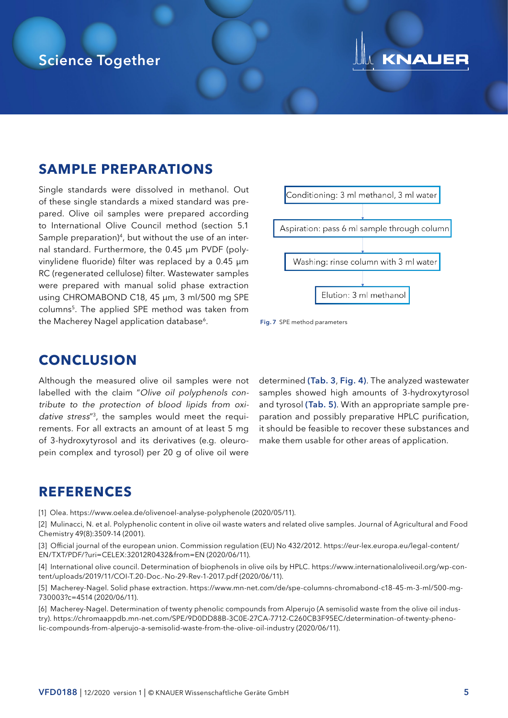## Science Together

# KNAUER

## **SAMPLE PREPARATIONS**

Single standards were dissolved in methanol. Out of these single standards a mixed standard was prepared. Olive oil samples were prepared according to International Olive Council method (section 5.1 Sample preparation)<sup>4</sup>, but without the use of an internal standard. Furthermore, the 0.45 µm PVDF (polyvinylidene fluoride) filter was replaced by a 0.45 µm RC (regenerated cellulose) filter. Wastewater samples were prepared with manual solid phase extraction using CHROMABOND C18, 45 µm, 3 ml/500 mg SPE columns5. The applied SPE method was taken from the Macherey Nagel application database<sup>6</sup>.





### **CONCLUSION**

Although the measured olive oil samples were not labelled with the claim "Olive oil polyphenols contribute to the protection of blood lipids from oxidative stress<sup>"3</sup>, the samples would meet the requirements. For all extracts an amount of at least 5 mg of 3-hydroxytyrosol and its derivatives (e.g. oleuropein complex and tyrosol) per 20 g of olive oil were

determined (Tab. 3, Fig. 4). The analyzed wastewater samples showed high amounts of 3-hydroxytyrosol and tyrosol (Tab. 5). With an appropriate sample preparation and possibly preparative HPLC purification, it should be feasible to recover these substances and make them usable for other areas of application.

### **REFERENCES**

[1] Olea. https://www.oelea.de/olivenoel-analyse-polyphenole (2020/05/11).

[2] Mulinacci, N. et al. Polyphenolic content in olive oil waste waters and related olive samples. Journal of Agricultural and Food Chemistry 49(8):3509-14 (2001).

[3] Official journal of the european union. Commission regulation (EU) No 432/2012. https://eur-lex.europa.eu/legal-content/ EN/TXT/PDF/?uri=CELEX:32012R0432&from=EN (2020/06/11).

[4] International olive council. Determination of biophenols in olive oils by HPLC. https://www.internationaloliveoil.org/wp-content/uploads/2019/11/COI-T.20-Doc.-No-29-Rev-1-2017.pdf (2020/06/11).

[5] Macherey-Nagel. Solid phase extraction. https://www.mn-net.com/de/spe-columns-chromabond-c18-45-m-3-ml/500-mg-730003?c=4514 (2020/06/11).

[6] Macherey-Nagel. Determination of twenty phenolic compounds from Alperujo (A semisolid waste from the olive oil industry). https://chromaappdb.mn-net.com/SPE/9D0DD88B-3C0E-27CA-7712-C260CB3F95EC/determination-of-twenty-phenolic-compounds-from-alperujo-a-semisolid-waste-from-the-olive-oil-industry (2020/06/11).